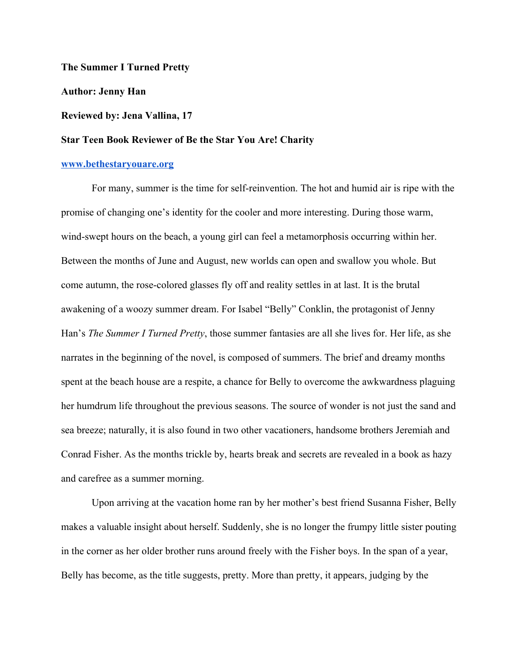**The Summer I Turned Pretty**

**Author: Jenny Han**

## **Reviewed by: Jena Vallina, 17**

## **Star Teen Book Reviewer of Be the Star You Are! Charity**

## **[www.bethestaryouare.org](http://www.bethestaryouare.org/)**

For many, summer is the time for self-reinvention. The hot and humid air is ripe with the promise of changing one's identity for the cooler and more interesting. During those warm, wind-swept hours on the beach, a young girl can feel a metamorphosis occurring within her. Between the months of June and August, new worlds can open and swallow you whole. But come autumn, the rose-colored glasses fly off and reality settles in at last. It is the brutal awakening of a woozy summer dream. For Isabel "Belly" Conklin, the protagonist of Jenny Han's *The Summer I Turned Pretty*, those summer fantasies are all she lives for. Her life, as she narrates in the beginning of the novel, is composed of summers. The brief and dreamy months spent at the beach house are a respite, a chance for Belly to overcome the awkwardness plaguing her humdrum life throughout the previous seasons. The source of wonder is not just the sand and sea breeze; naturally, it is also found in two other vacationers, handsome brothers Jeremiah and Conrad Fisher. As the months trickle by, hearts break and secrets are revealed in a book as hazy and carefree as a summer morning.

Upon arriving at the vacation home ran by her mother's best friend Susanna Fisher, Belly makes a valuable insight about herself. Suddenly, she is no longer the frumpy little sister pouting in the corner as her older brother runs around freely with the Fisher boys. In the span of a year, Belly has become, as the title suggests, pretty. More than pretty, it appears, judging by the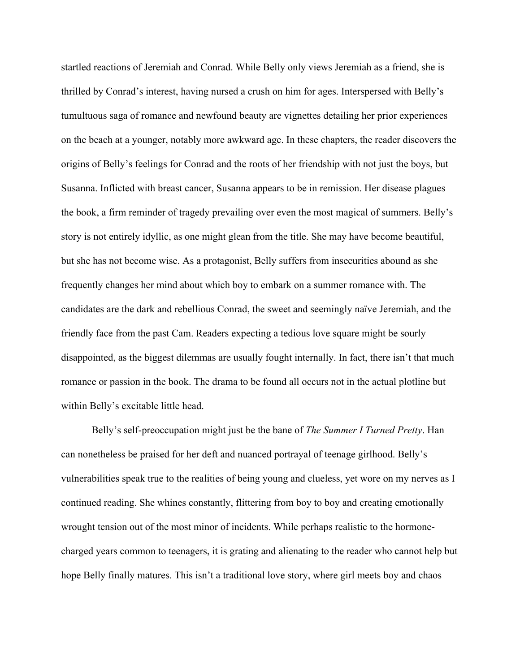startled reactions of Jeremiah and Conrad. While Belly only views Jeremiah as a friend, she is thrilled by Conrad's interest, having nursed a crush on him for ages. Interspersed with Belly's tumultuous saga of romance and newfound beauty are vignettes detailing her prior experiences on the beach at a younger, notably more awkward age. In these chapters, the reader discovers the origins of Belly's feelings for Conrad and the roots of her friendship with not just the boys, but Susanna. Inflicted with breast cancer, Susanna appears to be in remission. Her disease plagues the book, a firm reminder of tragedy prevailing over even the most magical of summers. Belly's story is not entirely idyllic, as one might glean from the title. She may have become beautiful, but she has not become wise. As a protagonist, Belly suffers from insecurities abound as she frequently changes her mind about which boy to embark on a summer romance with. The candidates are the dark and rebellious Conrad, the sweet and seemingly naïve Jeremiah, and the friendly face from the past Cam. Readers expecting a tedious love square might be sourly disappointed, as the biggest dilemmas are usually fought internally. In fact, there isn't that much romance or passion in the book. The drama to be found all occurs not in the actual plotline but within Belly's excitable little head.

Belly's self-preoccupation might just be the bane of *The Summer I Turned Pretty*. Han can nonetheless be praised for her deft and nuanced portrayal of teenage girlhood. Belly's vulnerabilities speak true to the realities of being young and clueless, yet wore on my nerves as I continued reading. She whines constantly, flittering from boy to boy and creating emotionally wrought tension out of the most minor of incidents. While perhaps realistic to the hormonecharged years common to teenagers, it is grating and alienating to the reader who cannot help but hope Belly finally matures. This isn't a traditional love story, where girl meets boy and chaos